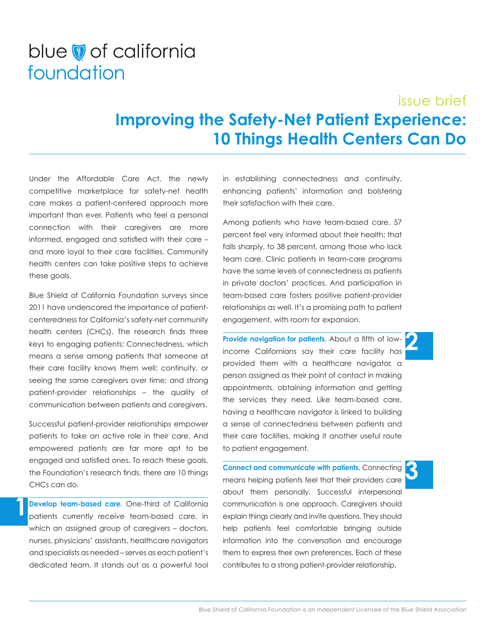## blue of california foundation

## issue brief **Improving the Safety-Net Patient Experience: 10 Things Health Centers Can Do**

Under the Affordable Care Act, the newly competitive marketplace for safety-net health care makes a patient-centered approach more important than ever. Patients who feel a personal connection with their caregivers are more informed, engaged and satisfied with their care – and more loyal to their care facilities. Community health centers can take positive steps to achieve these goals.

Blue Shield of California Foundation surveys since 2011 have underscored the importance of patientcenteredness for California's safety-net community health centers (CHCs). The research finds three keys to engaging patients: Connectedness, which means a sense among patients that someone at their care facility knows them well; continuity, or seeing the same caregivers over time; and strong patient-provider relationships – the quality of communication between patients and caregivers.

Successful patient-provider relationships empower patients to take an active role in their care. And empowered patients are far more apt to be engaged and satisfied ones. To reach these goals, the Foundation's research finds, there are 10 things CHCs can do.

**Develop team-based care.** One-third of California patients currently receive team-based care, in which an assigned group of caregivers – doctors, nurses, physicians' assistants, healthcare navigators and specialists as needed – serves as each patient's dedicated team. It stands out as a powerful tool

**1**

in establishing connectedness and continuity, enhancing patients' information and bolstering their satisfaction with their care.

Among patients who have team-based care, 57 percent feel very informed about their health; that falls sharply, to 38 percent, among those who lack team care. Clinic patients in team-care programs have the same levels of connectedness as patients in private doctors' practices. And participation in team-based care fosters positive patient-provider relationships as well. It's a promising path to patient engagement, with room for expansion.

**Provide navigation for patients.** About a fifth of lowincome Californians say their care facility has provided them with a healthcare navigator, a person assigned as their point of contact in making appointments, obtaining information and getting the services they need. Like team-based care, having a healthcare navigator is linked to building a sense of connectedness between patients and their care facilities, making it another useful route to patient engagement.

**2**

**3**

**Connect and communicate with patients.** Connecting means helping patients feel that their providers care about them personally. Successful interpersonal communication is one approach. Caregivers should explain things clearly and invite questions. They should help patients feel comfortable bringing outside information into the conversation and encourage them to express their own preferences. Each of these contributes to a strong patient-provider relationship.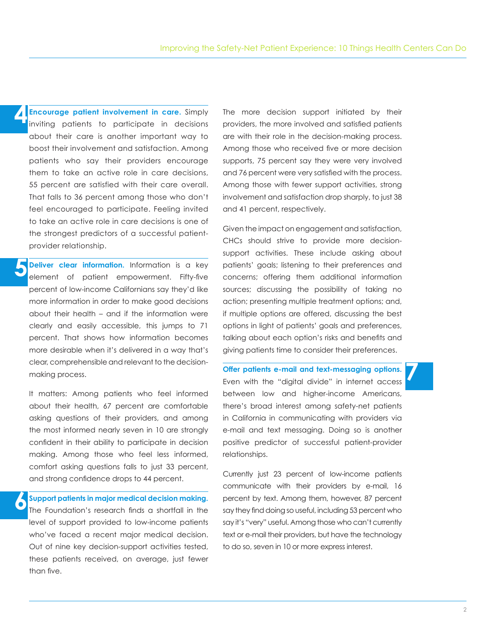**Encourage patient involvement in care.** Simply inviting patients to participate in decisions about their care is another important way to boost their involvement and satisfaction. Among patients who say their providers encourage them to take an active role in care decisions, 55 percent are satisfied with their care overall. That falls to 36 percent among those who don't feel encouraged to participate. Feeling invited to take an active role in care decisions is one of the strongest predictors of a successful patientprovider relationship. **4**

**Deliver clear information.** Information is a key element of patient empowerment. Fifty-five percent of low-income Californians say they'd like more information in order to make good decisions about their health – and if the information were clearly and easily accessible, this jumps to 71 percent. That shows how information becomes more desirable when it's delivered in a way that's clear, comprehensible and relevant to the decisionmaking process. **5**

It matters: Among patients who feel informed about their health, 67 percent are comfortable asking questions of their providers, and among the most informed nearly seven in 10 are strongly confident in their ability to participate in decision making. Among those who feel less informed, comfort asking questions falls to just 33 percent, and strong confidence drops to 44 percent.

**Support patients in major medical decision making.** The Foundation's research finds a shortfall in the level of support provided to low-income patients who've faced a recent major medical decision. Out of nine key decision-support activities tested, these patients received, on average, just fewer than five. **6**

The more decision support initiated by their providers, the more involved and satisfied patients are with their role in the decision-making process. Among those who received five or more decision supports, 75 percent say they were very involved and 76 percent were very satisfied with the process. Among those with fewer support activities, strong involvement and satisfaction drop sharply, to just 38 and 41 percent, respectively.

Given the impact on engagement and satisfaction, CHCs should strive to provide more decisionsupport activities. These include asking about patients' goals; listening to their preferences and concerns; offering them additional information sources; discussing the possibility of taking no action; presenting multiple treatment options; and, if multiple options are offered, discussing the best options in light of patients' goals and preferences, talking about each option's risks and benefits and giving patients time to consider their preferences.

**Offer patients e-mail and text-messaging options.** Even with the "digital divide" in internet access between low and higher-income Americans, there's broad interest among safety-net patients in California in communicating with providers via e-mail and text messaging. Doing so is another positive predictor of successful patient-provider relationships.

Currently just 23 percent of low-income patients communicate with their providers by e-mail, 16 percent by text. Among them, however, 87 percent say they find doing so useful, including 53 percent who say it's "very" useful. Among those who can't currently text or e-mail their providers, but have the technology to do so, seven in 10 or more express interest.

**7**